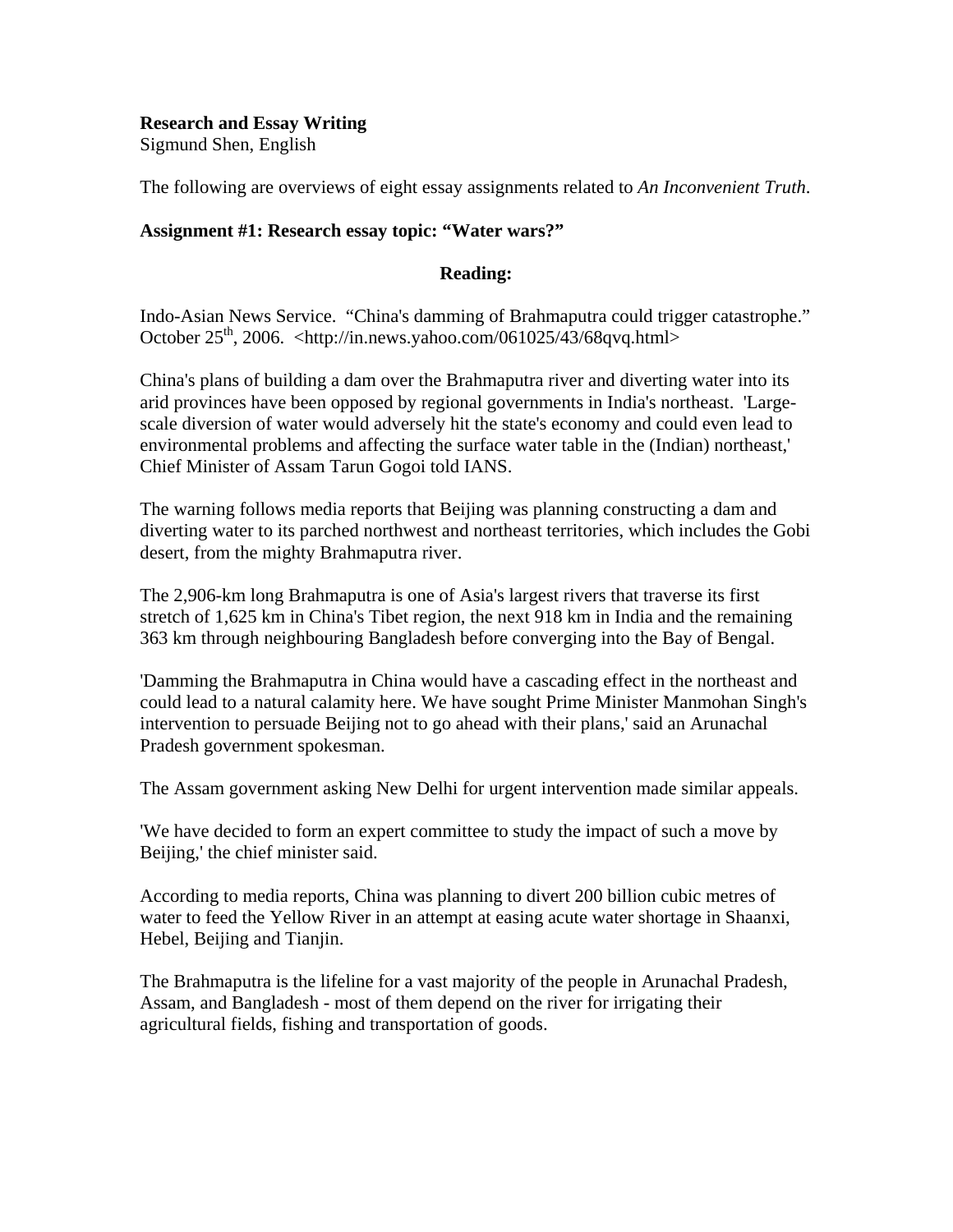# **Research and Essay Writing**  Sigmund Shen, English

The following are overviews of eight essay assignments related to *An Inconvenient Truth*.

# **Assignment #1: Research essay topic: "Water wars?"**

### **Reading:**

Indo-Asian News Service. "China's damming of Brahmaputra could trigger catastrophe." October  $25<sup>th</sup>$ , 2006. <http://in.news.yahoo.com/061025/43/68qvq.html>

China's plans of building a dam over the Brahmaputra river and diverting water into its arid provinces have been opposed by regional governments in India's northeast. 'Largescale diversion of water would adversely hit the state's economy and could even lead to environmental problems and affecting the surface water table in the (Indian) northeast,' Chief Minister of Assam Tarun Gogoi told IANS.

The warning follows media reports that Beijing was planning constructing a dam and diverting water to its parched northwest and northeast territories, which includes the Gobi desert, from the mighty Brahmaputra river.

The 2,906-km long Brahmaputra is one of Asia's largest rivers that traverse its first stretch of 1,625 km in China's Tibet region, the next 918 km in India and the remaining 363 km through neighbouring Bangladesh before converging into the Bay of Bengal.

'Damming the Brahmaputra in China would have a cascading effect in the northeast and could lead to a natural calamity here. We have sought Prime Minister Manmohan Singh's intervention to persuade Beijing not to go ahead with their plans,' said an Arunachal Pradesh government spokesman.

The Assam government asking New Delhi for urgent intervention made similar appeals.

'We have decided to form an expert committee to study the impact of such a move by Beijing,' the chief minister said.

According to media reports, China was planning to divert 200 billion cubic metres of water to feed the Yellow River in an attempt at easing acute water shortage in Shaanxi, Hebel, Beijing and Tianjin.

The Brahmaputra is the lifeline for a vast majority of the people in Arunachal Pradesh, Assam, and Bangladesh - most of them depend on the river for irrigating their agricultural fields, fishing and transportation of goods.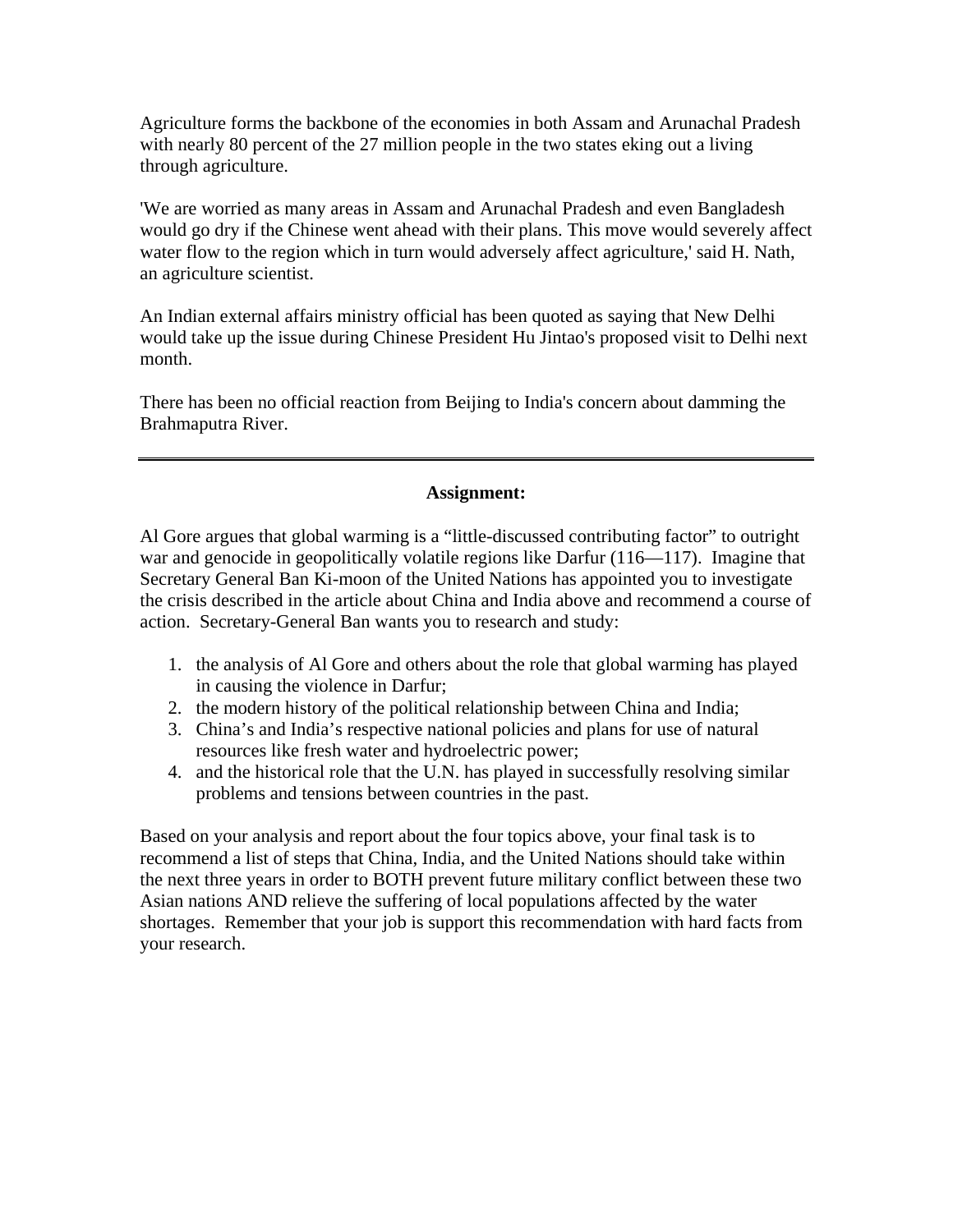Agriculture forms the backbone of the economies in both Assam and Arunachal Pradesh with nearly 80 percent of the 27 million people in the two states eking out a living through agriculture.

'We are worried as many areas in Assam and Arunachal Pradesh and even Bangladesh would go dry if the Chinese went ahead with their plans. This move would severely affect water flow to the region which in turn would adversely affect agriculture,' said H. Nath, an agriculture scientist.

An Indian external affairs ministry official has been quoted as saying that New Delhi would take up the issue during Chinese President Hu Jintao's proposed visit to Delhi next month.

There has been no official reaction from Beijing to India's concern about damming the Brahmaputra River.

#### **Assignment:**

Al Gore argues that global warming is a "little-discussed contributing factor" to outright war and genocide in geopolitically volatile regions like Darfur (116—117). Imagine that Secretary General Ban Ki-moon of the United Nations has appointed you to investigate the crisis described in the article about China and India above and recommend a course of action. Secretary-General Ban wants you to research and study:

- 1. the analysis of Al Gore and others about the role that global warming has played in causing the violence in Darfur;
- 2. the modern history of the political relationship between China and India;
- 3. China's and India's respective national policies and plans for use of natural resources like fresh water and hydroelectric power;
- 4. and the historical role that the U.N. has played in successfully resolving similar problems and tensions between countries in the past.

Based on your analysis and report about the four topics above, your final task is to recommend a list of steps that China, India, and the United Nations should take within the next three years in order to BOTH prevent future military conflict between these two Asian nations AND relieve the suffering of local populations affected by the water shortages. Remember that your job is support this recommendation with hard facts from your research.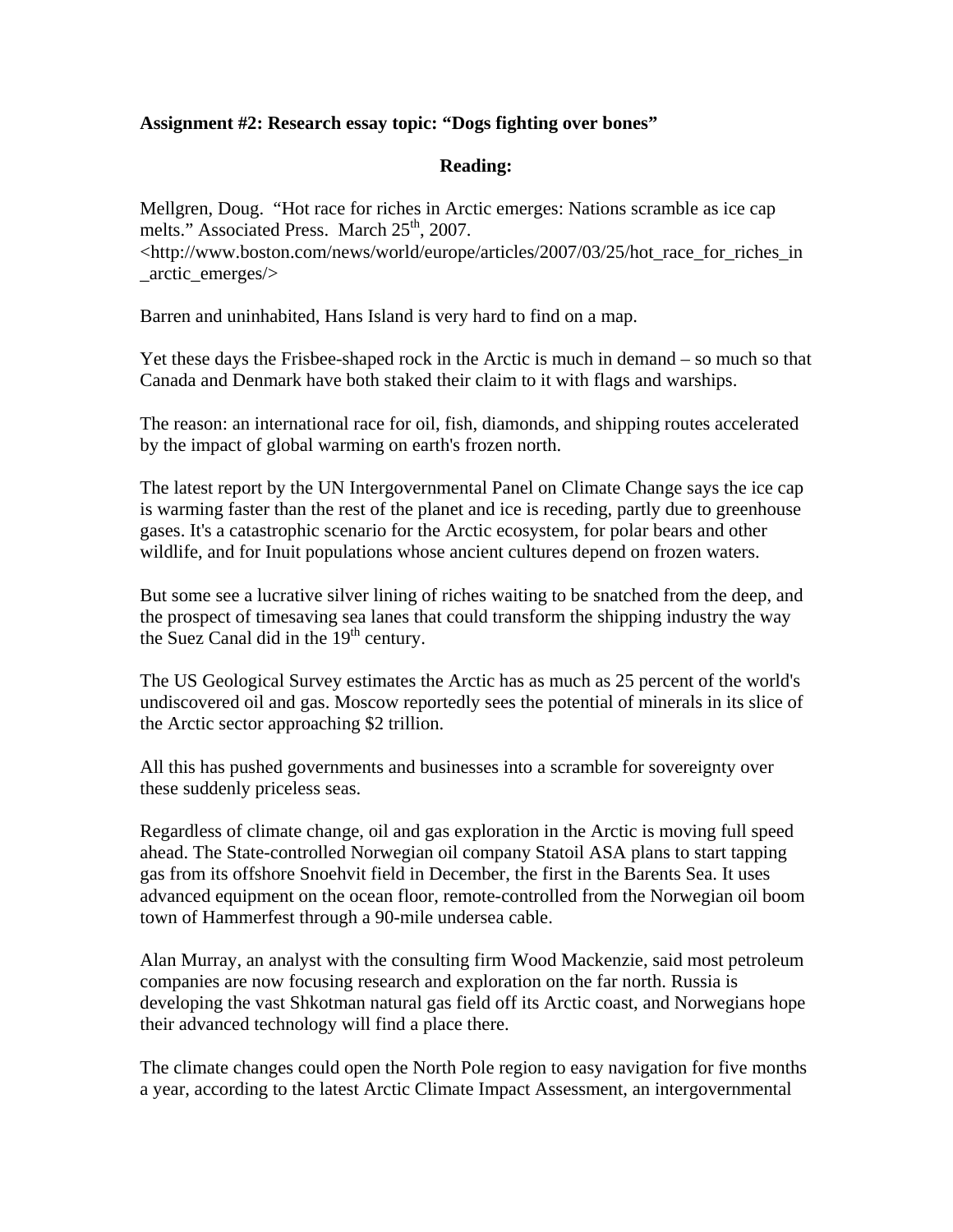# **Assignment #2: Research essay topic: "Dogs fighting over bones"**

# **Reading:**

Mellgren, Doug. "Hot race for riches in Arctic emerges: Nations scramble as ice cap melts." Associated Press. March 25<sup>th</sup>, 2007. <http://www.boston.com/news/world/europe/articles/2007/03/25/hot\_race\_for\_riches\_in \_arctic\_emerges/>

Barren and uninhabited, Hans Island is very hard to find on a map.

Yet these days the Frisbee-shaped rock in the Arctic is much in demand – so much so that Canada and Denmark have both staked their claim to it with flags and warships.

The reason: an international race for oil, fish, diamonds, and shipping routes accelerated by the impact of global warming on earth's frozen north.

The latest report by the UN Intergovernmental Panel on Climate Change says the ice cap is warming faster than the rest of the planet and ice is receding, partly due to greenhouse gases. It's a catastrophic scenario for the Arctic ecosystem, for polar bears and other wildlife, and for Inuit populations whose ancient cultures depend on frozen waters.

But some see a lucrative silver lining of riches waiting to be snatched from the deep, and the prospect of timesaving sea lanes that could transform the shipping industry the way the Suez Canal did in the  $19<sup>th</sup>$  century.

The US Geological Survey estimates the Arctic has as much as 25 percent of the world's undiscovered oil and gas. Moscow reportedly sees the potential of minerals in its slice of the Arctic sector approaching \$2 trillion.

All this has pushed governments and businesses into a scramble for sovereignty over these suddenly priceless seas.

Regardless of climate change, oil and gas exploration in the Arctic is moving full speed ahead. The State-controlled Norwegian oil company Statoil ASA plans to start tapping gas from its offshore Snoehvit field in December, the first in the Barents Sea. It uses advanced equipment on the ocean floor, remote-controlled from the Norwegian oil boom town of Hammerfest through a 90-mile undersea cable.

Alan Murray, an analyst with the consulting firm Wood Mackenzie, said most petroleum companies are now focusing research and exploration on the far north. Russia is developing the vast Shkotman natural gas field off its Arctic coast, and Norwegians hope their advanced technology will find a place there.

The climate changes could open the North Pole region to easy navigation for five months a year, according to the latest Arctic Climate Impact Assessment, an intergovernmental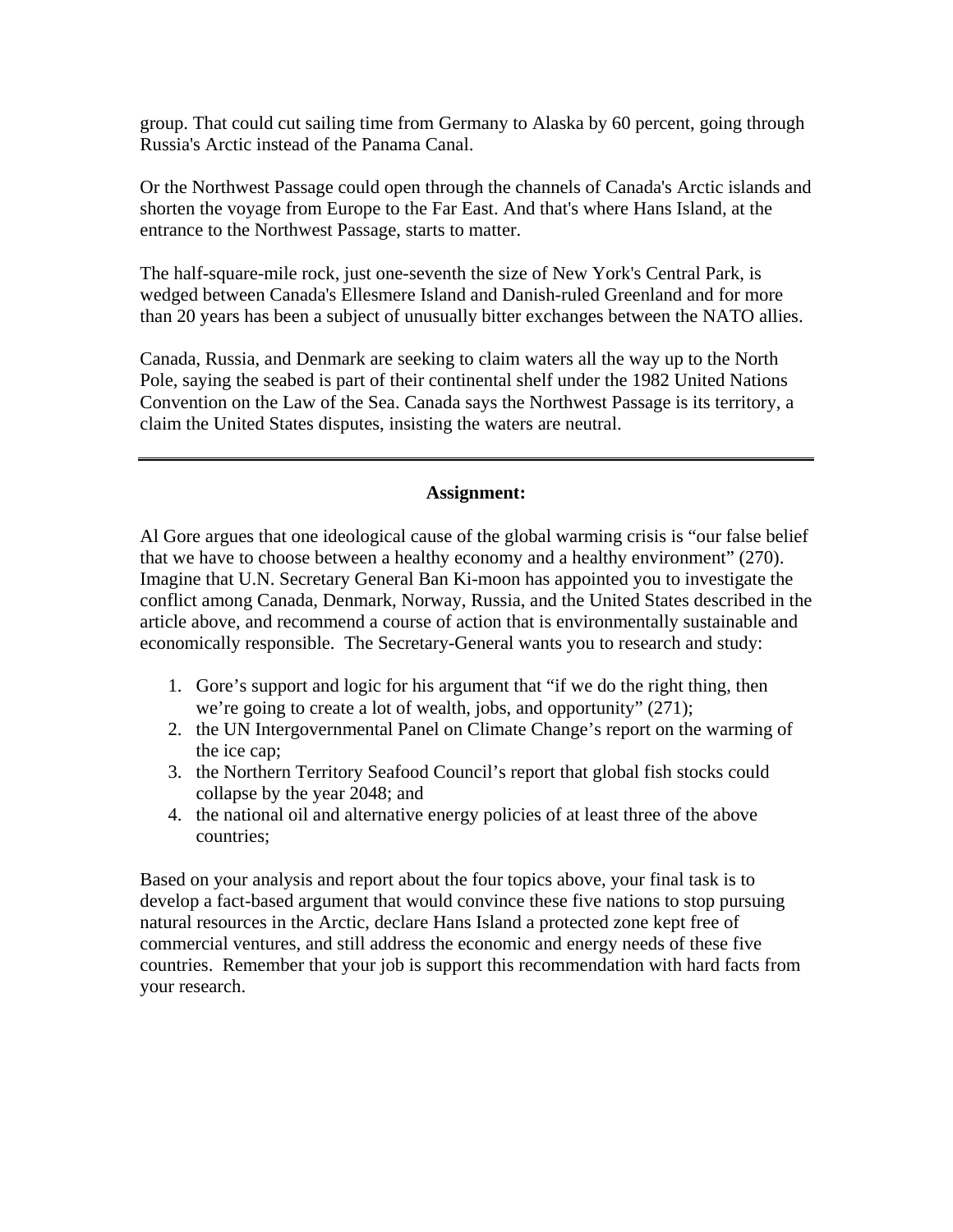group. That could cut sailing time from Germany to Alaska by 60 percent, going through Russia's Arctic instead of the Panama Canal.

Or the Northwest Passage could open through the channels of Canada's Arctic islands and shorten the voyage from Europe to the Far East. And that's where Hans Island, at the entrance to the Northwest Passage, starts to matter.

The half-square-mile rock, just one-seventh the size of New York's Central Park, is wedged between Canada's Ellesmere Island and Danish-ruled Greenland and for more than 20 years has been a subject of unusually bitter exchanges between the NATO allies.

Canada, Russia, and Denmark are seeking to claim waters all the way up to the North Pole, saying the seabed is part of their continental shelf under the 1982 United Nations Convention on the Law of the Sea. Canada says the Northwest Passage is its territory, a claim the United States disputes, insisting the waters are neutral.

#### **Assignment:**

Al Gore argues that one ideological cause of the global warming crisis is "our false belief that we have to choose between a healthy economy and a healthy environment" (270). Imagine that U.N. Secretary General Ban Ki-moon has appointed you to investigate the conflict among Canada, Denmark, Norway, Russia, and the United States described in the article above, and recommend a course of action that is environmentally sustainable and economically responsible. The Secretary-General wants you to research and study:

- 1. Gore's support and logic for his argument that "if we do the right thing, then we're going to create a lot of wealth, jobs, and opportunity" (271);
- 2. the UN Intergovernmental Panel on Climate Change's report on the warming of the ice cap;
- 3. the Northern Territory Seafood Council's report that global fish stocks could collapse by the year 2048; and
- 4. the national oil and alternative energy policies of at least three of the above countries;

Based on your analysis and report about the four topics above, your final task is to develop a fact-based argument that would convince these five nations to stop pursuing natural resources in the Arctic, declare Hans Island a protected zone kept free of commercial ventures, and still address the economic and energy needs of these five countries. Remember that your job is support this recommendation with hard facts from your research.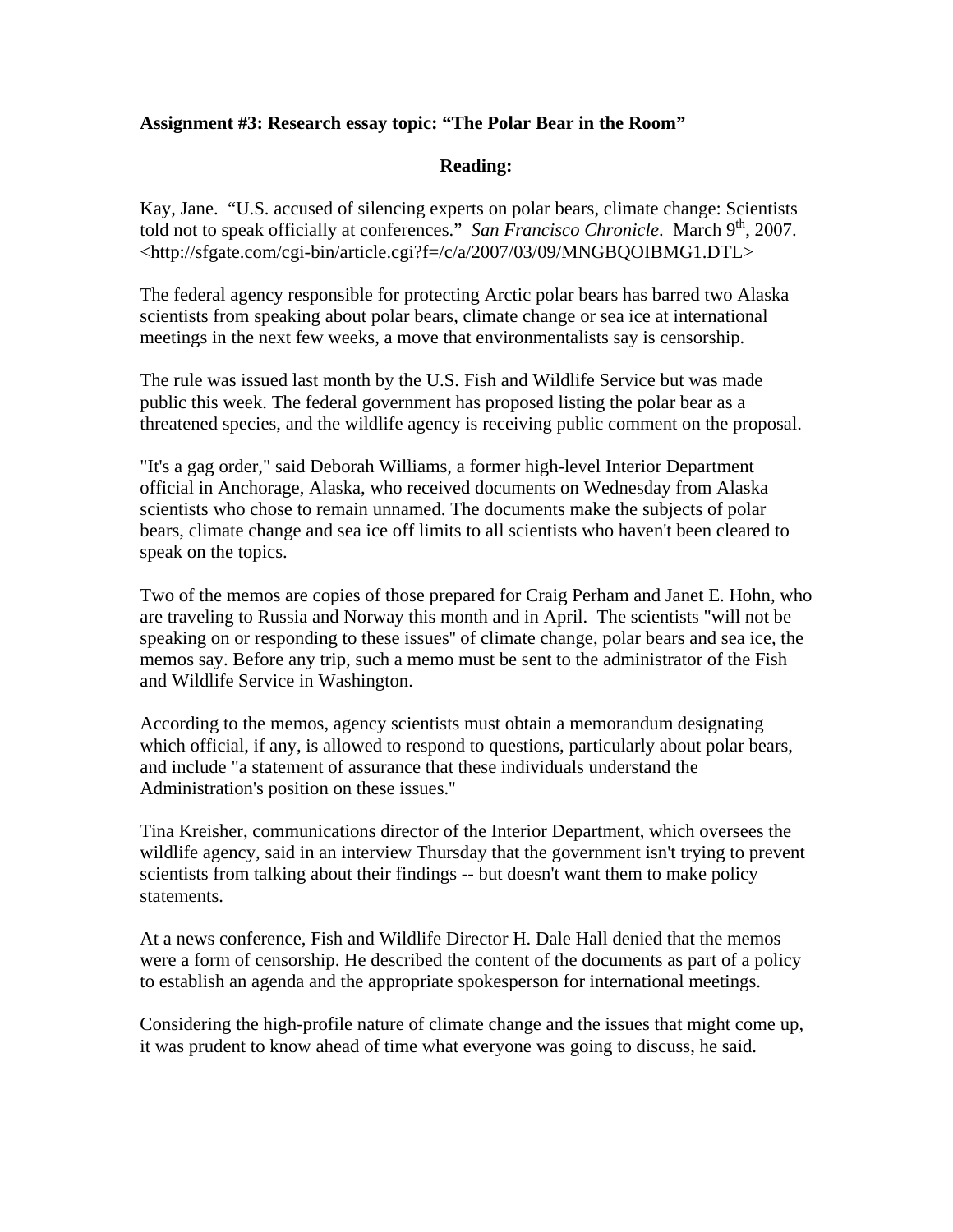# **Assignment #3: Research essay topic: "The Polar Bear in the Room"**

# **Reading:**

Kay, Jane. "U.S. accused of silencing experts on polar bears, climate change: Scientists told not to speak officially at conferences." *San Francisco Chronicle*. March 9<sup>th</sup>, 2007. <http://sfgate.com/cgi-bin/article.cgi?f=/c/a/2007/03/09/MNGBQOIBMG1.DTL>

The federal agency responsible for protecting Arctic polar bears has barred two Alaska scientists from speaking about polar bears, climate change or sea ice at international meetings in the next few weeks, a move that environmentalists say is censorship.

The rule was issued last month by the U.S. Fish and Wildlife Service but was made public this week. The federal government has proposed listing the polar bear as a threatened species, and the wildlife agency is receiving public comment on the proposal.

"It's a gag order," said Deborah Williams, a former high-level Interior Department official in Anchorage, Alaska, who received documents on Wednesday from Alaska scientists who chose to remain unnamed. The documents make the subjects of polar bears, climate change and sea ice off limits to all scientists who haven't been cleared to speak on the topics.

Two of the memos are copies of those prepared for Craig Perham and Janet E. Hohn, who are traveling to Russia and Norway this month and in April. The scientists "will not be speaking on or responding to these issues'' of climate change, polar bears and sea ice, the memos say. Before any trip, such a memo must be sent to the administrator of the Fish and Wildlife Service in Washington.

According to the memos, agency scientists must obtain a memorandum designating which official, if any, is allowed to respond to questions, particularly about polar bears, and include "a statement of assurance that these individuals understand the Administration's position on these issues.''

Tina Kreisher, communications director of the Interior Department, which oversees the wildlife agency, said in an interview Thursday that the government isn't trying to prevent scientists from talking about their findings -- but doesn't want them to make policy statements.

At a news conference, Fish and Wildlife Director H. Dale Hall denied that the memos were a form of censorship. He described the content of the documents as part of a policy to establish an agenda and the appropriate spokesperson for international meetings.

Considering the high-profile nature of climate change and the issues that might come up, it was prudent to know ahead of time what everyone was going to discuss, he said.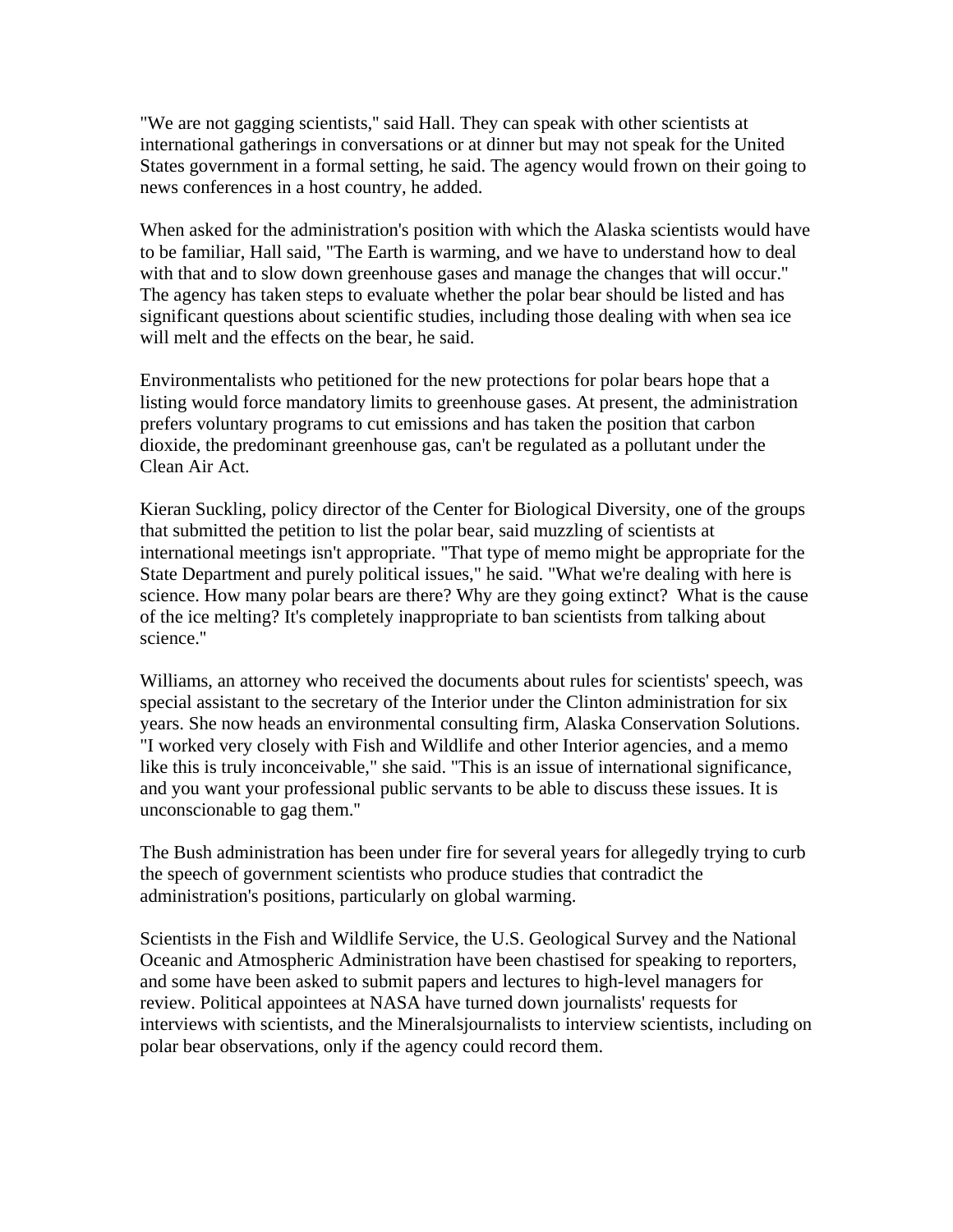"We are not gagging scientists,'' said Hall. They can speak with other scientists at international gatherings in conversations or at dinner but may not speak for the United States government in a formal setting, he said. The agency would frown on their going to news conferences in a host country, he added.

When asked for the administration's position with which the Alaska scientists would have to be familiar, Hall said, "The Earth is warming, and we have to understand how to deal with that and to slow down greenhouse gases and manage the changes that will occur." The agency has taken steps to evaluate whether the polar bear should be listed and has significant questions about scientific studies, including those dealing with when sea ice will melt and the effects on the bear, he said.

Environmentalists who petitioned for the new protections for polar bears hope that a listing would force mandatory limits to greenhouse gases. At present, the administration prefers voluntary programs to cut emissions and has taken the position that carbon dioxide, the predominant greenhouse gas, can't be regulated as a pollutant under the Clean Air Act.

Kieran Suckling, policy director of the Center for Biological Diversity, one of the groups that submitted the petition to list the polar bear, said muzzling of scientists at international meetings isn't appropriate. "That type of memo might be appropriate for the State Department and purely political issues," he said. "What we're dealing with here is science. How many polar bears are there? Why are they going extinct? What is the cause of the ice melting? It's completely inappropriate to ban scientists from talking about science.''

Williams, an attorney who received the documents about rules for scientists' speech, was special assistant to the secretary of the Interior under the Clinton administration for six years. She now heads an environmental consulting firm, Alaska Conservation Solutions. "I worked very closely with Fish and Wildlife and other Interior agencies, and a memo like this is truly inconceivable," she said. "This is an issue of international significance, and you want your professional public servants to be able to discuss these issues. It is unconscionable to gag them.''

The Bush administration has been under fire for several years for allegedly trying to curb the speech of government scientists who produce studies that contradict the administration's positions, particularly on global warming.

Scientists in the Fish and Wildlife Service, the U.S. Geological Survey and the National Oceanic and Atmospheric Administration have been chastised for speaking to reporters, and some have been asked to submit papers and lectures to high-level managers for review. Political appointees at NASA have turned down journalists' requests for interviews with scientists, and the Mineralsjournalists to interview scientists, including on polar bear observations, only if the agency could record them.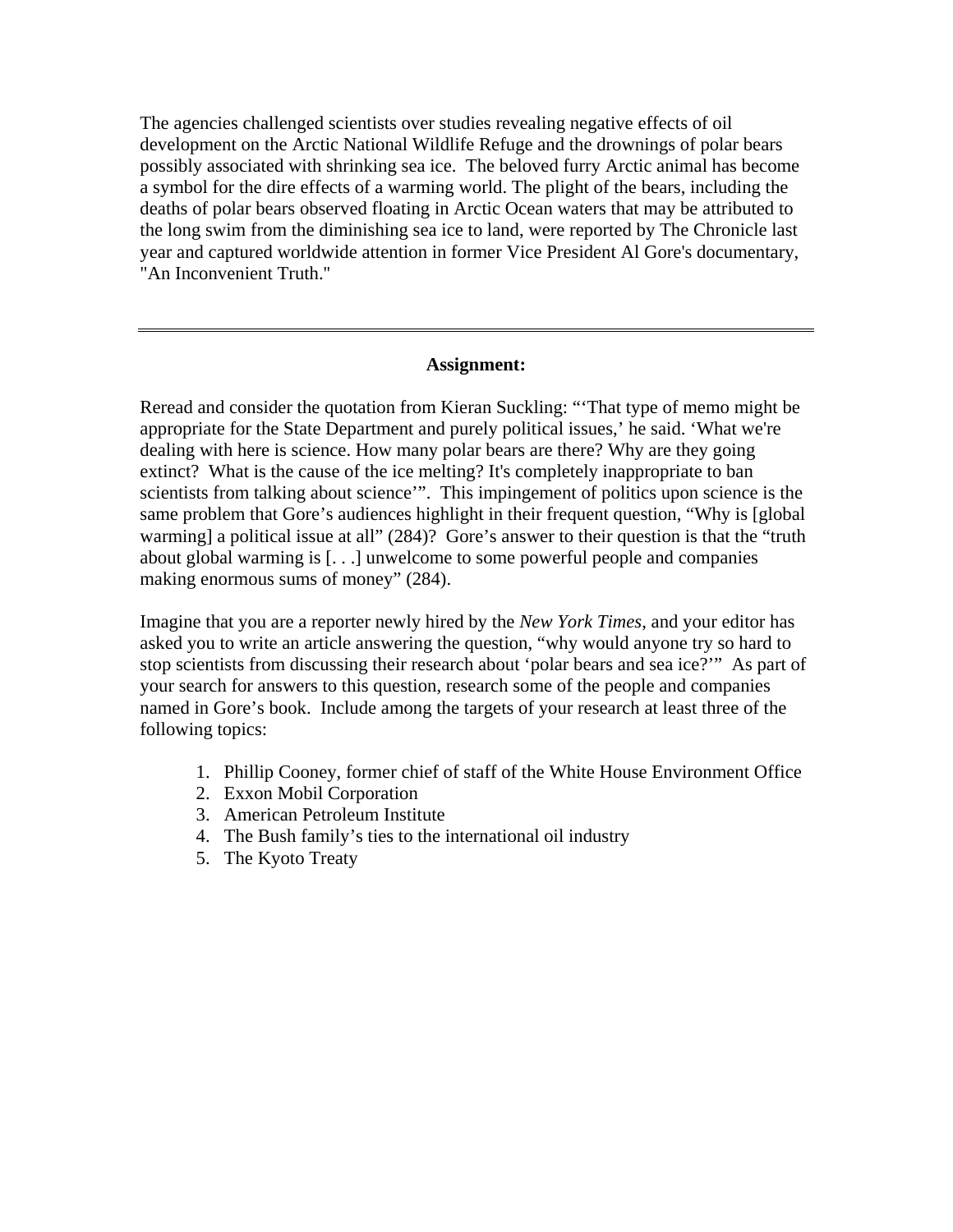The agencies challenged scientists over studies revealing negative effects of oil development on the Arctic National Wildlife Refuge and the drownings of polar bears possibly associated with shrinking sea ice. The beloved furry Arctic animal has become a symbol for the dire effects of a warming world. The plight of the bears, including the deaths of polar bears observed floating in Arctic Ocean waters that may be attributed to the long swim from the diminishing sea ice to land, were reported by The Chronicle last year and captured worldwide attention in former Vice President Al Gore's documentary, "An Inconvenient Truth.''

#### **Assignment:**

Reread and consider the quotation from Kieran Suckling: "'That type of memo might be appropriate for the State Department and purely political issues,' he said. 'What we're dealing with here is science. How many polar bears are there? Why are they going extinct? What is the cause of the ice melting? It's completely inappropriate to ban scientists from talking about science'". This impingement of politics upon science is the same problem that Gore's audiences highlight in their frequent question, "Why is [global warming] a political issue at all" (284)? Gore's answer to their question is that the "truth" about global warming is [. . .] unwelcome to some powerful people and companies making enormous sums of money" (284).

Imagine that you are a reporter newly hired by the *New York Times*, and your editor has asked you to write an article answering the question, "why would anyone try so hard to stop scientists from discussing their research about 'polar bears and sea ice?'" As part of your search for answers to this question, research some of the people and companies named in Gore's book. Include among the targets of your research at least three of the following topics:

- 1. Phillip Cooney, former chief of staff of the White House Environment Office
- 2. Exxon Mobil Corporation
- 3. American Petroleum Institute
- 4. The Bush family's ties to the international oil industry
- 5. The Kyoto Treaty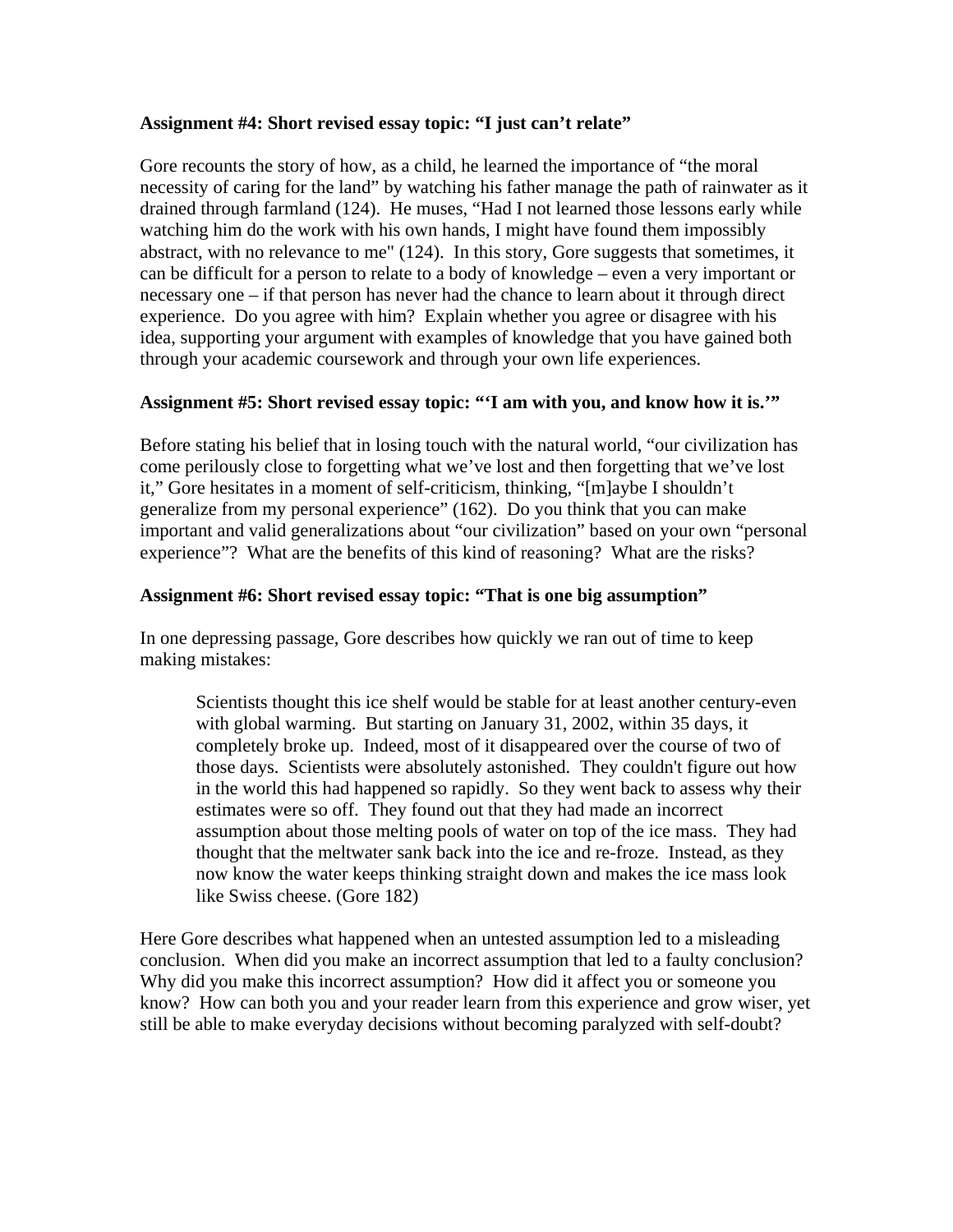# **Assignment #4: Short revised essay topic: "I just can't relate"**

Gore recounts the story of how, as a child, he learned the importance of "the moral necessity of caring for the land" by watching his father manage the path of rainwater as it drained through farmland (124). He muses, "Had I not learned those lessons early while watching him do the work with his own hands, I might have found them impossibly abstract, with no relevance to me" (124). In this story, Gore suggests that sometimes, it can be difficult for a person to relate to a body of knowledge – even a very important or necessary one – if that person has never had the chance to learn about it through direct experience. Do you agree with him? Explain whether you agree or disagree with his idea, supporting your argument with examples of knowledge that you have gained both through your academic coursework and through your own life experiences.

# **Assignment #5: Short revised essay topic: "'I am with you, and know how it is.'"**

Before stating his belief that in losing touch with the natural world, "our civilization has come perilously close to forgetting what we've lost and then forgetting that we've lost it," Gore hesitates in a moment of self-criticism, thinking, "[m]aybe I shouldn't generalize from my personal experience" (162). Do you think that you can make important and valid generalizations about "our civilization" based on your own "personal experience"? What are the benefits of this kind of reasoning? What are the risks?

# **Assignment #6: Short revised essay topic: "That is one big assumption"**

In one depressing passage, Gore describes how quickly we ran out of time to keep making mistakes:

Scientists thought this ice shelf would be stable for at least another century-even with global warming. But starting on January 31, 2002, within 35 days, it completely broke up. Indeed, most of it disappeared over the course of two of those days. Scientists were absolutely astonished. They couldn't figure out how in the world this had happened so rapidly. So they went back to assess why their estimates were so off. They found out that they had made an incorrect assumption about those melting pools of water on top of the ice mass. They had thought that the meltwater sank back into the ice and re-froze. Instead, as they now know the water keeps thinking straight down and makes the ice mass look like Swiss cheese. (Gore 182)

Here Gore describes what happened when an untested assumption led to a misleading conclusion. When did you make an incorrect assumption that led to a faulty conclusion? Why did you make this incorrect assumption? How did it affect you or someone you know? How can both you and your reader learn from this experience and grow wiser, yet still be able to make everyday decisions without becoming paralyzed with self-doubt?